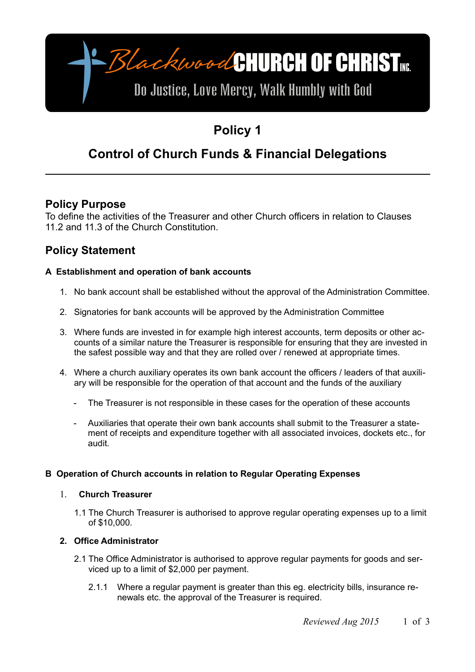

# **Policy 1**

# **Control of Church Funds & Financial Delegations**

## **Policy Purpose**

To define the activities of the Treasurer and other Church officers in relation to Clauses 11.2 and 11.3 of the Church Constitution.

# **Policy Statement**

## **A Establishment and operation of bank accounts**

- 1. No bank account shall be established without the approval of the Administration Committee.
- 2. Signatories for bank accounts will be approved by the Administration Committee
- 3. Where funds are invested in for example high interest accounts, term deposits or other accounts of a similar nature the Treasurer is responsible for ensuring that they are invested in the safest possible way and that they are rolled over / renewed at appropriate times.
- 4. Where a church auxiliary operates its own bank account the officers / leaders of that auxiliary will be responsible for the operation of that account and the funds of the auxiliary
	- The Treasurer is not responsible in these cases for the operation of these accounts
	- Auxiliaries that operate their own bank accounts shall submit to the Treasurer a statement of receipts and expenditure together with all associated invoices, dockets etc., for audit.

### **B Operation of Church accounts in relation to Regular Operating Expenses**

#### 1. **Church Treasurer**

1.1 The Church Treasurer is authorised to approve regular operating expenses up to a limit of \$10,000.

### **2. Office Administrator**

- 2.1 The Office Administrator is authorised to approve regular payments for goods and serviced up to a limit of \$2,000 per payment.
	- 2.1.1 Where a regular payment is greater than this eg. electricity bills, insurance renewals etc. the approval of the Treasurer is required.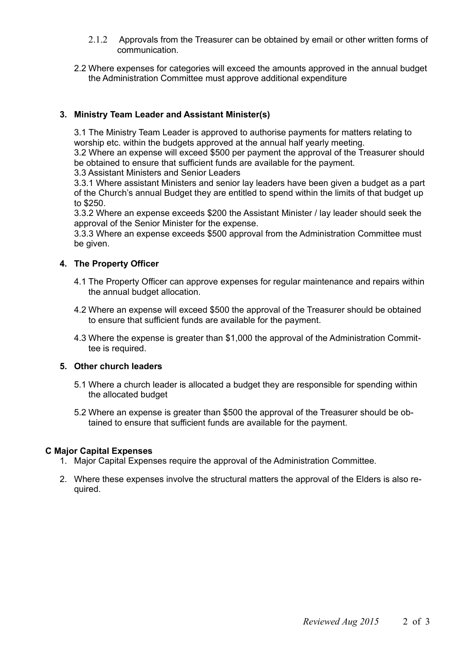- 2.1.2 Approvals from the Treasurer can be obtained by email or other written forms of communication.
- 2.2 Where expenses for categories will exceed the amounts approved in the annual budget the Administration Committee must approve additional expenditure

#### **3. Ministry Team Leader and Assistant Minister(s)**

3.1 The Ministry Team Leader is approved to authorise payments for matters relating to worship etc. within the budgets approved at the annual half yearly meeting.

3.2 Where an expense will exceed \$500 per payment the approval of the Treasurer should be obtained to ensure that sufficient funds are available for the payment.

3.3 Assistant Ministers and Senior Leaders

3.3.1 Where assistant Ministers and senior lay leaders have been given a budget as a part of the Church's annual Budget they are entitled to spend within the limits of that budget up to \$250.

3.3.2 Where an expense exceeds \$200 the Assistant Minister / lay leader should seek the approval of the Senior Minister for the expense.

3.3.3 Where an expense exceeds \$500 approval from the Administration Committee must be given.

#### **4. The Property Officer**

- 4.1 The Property Officer can approve expenses for regular maintenance and repairs within the annual budget allocation.
- 4.2 Where an expense will exceed \$500 the approval of the Treasurer should be obtained to ensure that sufficient funds are available for the payment.
- 4.3 Where the expense is greater than \$1,000 the approval of the Administration Committee is required.

#### **5. Other church leaders**

- 5.1 Where a church leader is allocated a budget they are responsible for spending within the allocated budget
- 5.2 Where an expense is greater than \$500 the approval of the Treasurer should be obtained to ensure that sufficient funds are available for the payment.

#### **C Major Capital Expenses**

- 1. Major Capital Expenses require the approval of the Administration Committee.
- 2. Where these expenses involve the structural matters the approval of the Elders is also required.